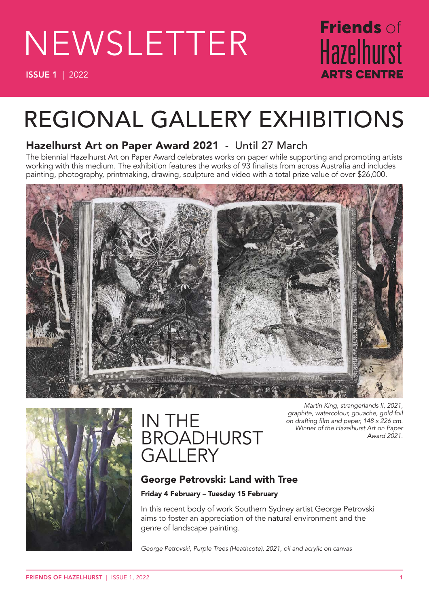# NEWSLETTER

ISSUE 1 | 2022

# Friends of **Hazelhurst** ARTS CENTRE

# REGIONAL GALLERY EXHIBITIONS

### Hazelhurst Art on Paper Award 2021 - Until 27 March

The biennial Hazelhurst Art on Paper Award celebrates works on paper while supporting and promoting artists working with this medium. The exhibition features the works of 93 finalists from across Australia and includes painting, photography, printmaking, drawing, sculpture and video with a total prize value of over \$26,000.





# IN THE **BROADHURST GALLERY**

*Martin King, strangerlands II, 2021, graphite, watercolour, gouache, gold foil on drafting film and paper, 148 x 226 cm. Winner of the Hazelhurst Art on Paper Award 2021.* 

### George Petrovski: Land with Tree

#### Friday 4 February – Tuesday 15 February

In this recent body of work Southern Sydney artist George Petrovski aims to foster an appreciation of the natural environment and the genre of landscape painting.

*George Petrovski, Purple Trees (Heathcote), 2021, oil and acrylic on canvas*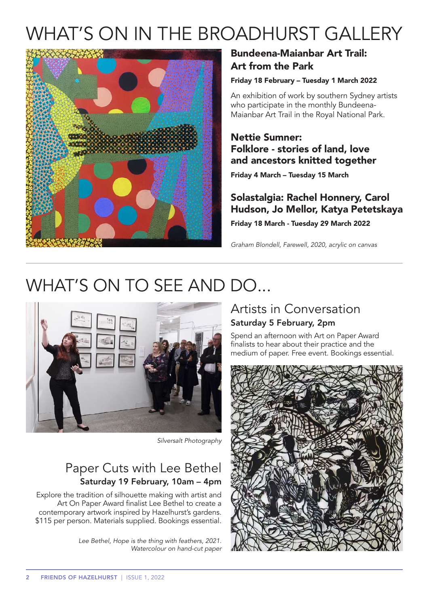# WHAT'S ON IN THE BROADHURST GALLERY



### Bundeena-Maianbar Art Trail: Art from the Park

#### Friday 18 February – Tuesday 1 March 2022

An exhibition of work by southern Sydney artists who participate in the monthly Bundeena-Maianbar Art Trail in the Royal National Park.

#### Nettie Sumner: Folklore - stories of land, love and ancestors knitted together

Friday 4 March – Tuesday 15 March

### Solastalgia: Rachel Honnery, Carol Hudson, Jo Mellor, Katya Petetskaya

Friday 18 March - Tuesday 29 March 2022

*Graham Blondell, Farewell, 2020, acrylic on canvas*

# WHAT'S ON TO SEE AND DO...



*Silversalt Photography*

### Paper Cuts with Lee Bethel Saturday 19 February, 10am – 4pm

Explore the tradition of silhouette making with artist and Art On Paper Award finalist Lee Bethel to create a contemporary artwork inspired by Hazelhurst's gardens. \$115 per person. Materials supplied. Bookings essential.

> *Lee Bethel, Hope is the thing with feathers, 2021. Watercolour on hand-cut paper*

### Artists in Conversation Saturday 5 February, 2pm

Spend an afternoon with Art on Paper Award finalists to hear about their practice and the medium of paper. Free event. Bookings essential.

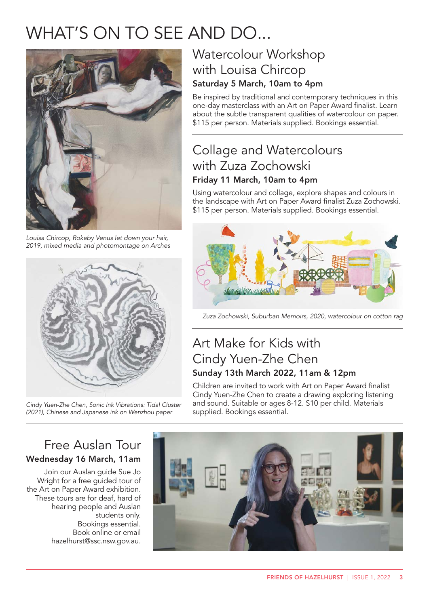# WHAT'S ON TO SEE AND DO...



*Louisa Chircop, Rokeby Venus let down your hair, 2019, mixed media and photomontage on Arches*



*Cindy Yuen-Zhe Chen, Sonic Ink Vibrations: Tidal Cluster (2021), Chinese and Japanese ink on Wenzhou paper* 

### Watercolour Workshop with Louisa Chircop Saturday 5 March, 10am to 4pm

Be inspired by traditional and contemporary techniques in this one-day masterclass with an Art on Paper Award finalist. Learn about the subtle transparent qualities of watercolour on paper. \$115 per person. Materials supplied. Bookings essential.

### Collage and Watercolours with Zuza Zochowski Friday 11 March, 10am to 4pm

Using watercolour and collage, explore shapes and colours in the landscape with Art on Paper Award finalist Zuza Zochowski. \$115 per person. Materials supplied. Bookings essential.



*Zuza Zochowski, Suburban Memoirs, 2020, watercolour on cotton rag*

### Art Make for Kids with Cindy Yuen-Zhe Chen Sunday 13th March 2022, 11am & 12pm

Children are invited to work with Art on Paper Award finalist Cindy Yuen-Zhe Chen to create a drawing exploring listening and sound. Suitable or ages 8-12. \$10 per child. Materials supplied. Bookings essential.

### Free Auslan Tour Wednesday 16 March, 11am

Join our Auslan guide Sue Jo Wright for a free guided tour of the Art on Paper Award exhibition. These tours are for deaf, hard of hearing people and Auslan students only. Bookings essential. Book online or email hazelhurst@ssc.nsw.gov.au.

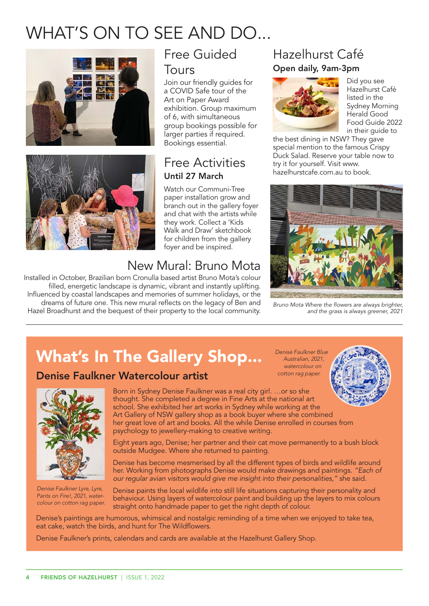# WHAT'S ON TO SEE AND DO...





# Free Guided

#### Tours

Join our friendly guides for a COVID Safe tour of the Art on Paper Award exhibition. Group maximum of 6, with simultaneous group bookings possible for larger parties if required. Bookings essential.

### Free Activities Until 27 March

Watch our Communi-Tree paper installation grow and branch out in the gallery foyer and chat with the artists while they work. Collect a 'Kids Walk and Draw' sketchbook for children from the gallery foyer and be inspired.

# New Mural: Bruno Mota

Installed in October, Brazilian born Cronulla based artist Bruno Mota's colour filled, energetic landscape is dynamic, vibrant and instantly uplifting. Influenced by coastal landscapes and memories of summer holidays, or the dreams of future one. This new mural reflects on the legacy of Ben and Hazel Broadhurst and the bequest of their property to the local community.

### Hazelhurst Café Open daily, 9am-3pm



Did you see Hazelhurst Café listed in the Sydney Morning Herald Good Food Guide 2022 in their guide to

the best dining in NSW? They gave special mention to the famous Crispy Duck Salad. Reserve your table now to try it for yourself. Visit www. hazelhurstcafe.com.au to book.



*Bruno Mota Where the flowers are always brighter, and the grass is always greener, 2021*

*Denise Faulkner Blue Australian, 2021, watercolour on cotton rag paper.*

# What's In The Gallery Shop...

### Denise Faulkner Watercolour artist



*Denise Faulkner Lyre, Lyre, Pants on Fire!, 2021, watercolour on cotton rag paper.*

Born in Sydney Denise Faulkner was a real city girl. …or so she thought. She completed a degree in Fine Arts at the national art school. She exhibited her art works in Sydney while working at the Art Gallery of NSW gallery shop as a book buyer where she combined her great love of art and books. All the while Denise enrolled in courses from psychology to jewellery-making to creative writing.

Eight years ago, Denise; her partner and their cat move permanently to a bush block outside Mudgee. Where she returned to painting.

Denise has become mesmerised by all the different types of birds and wildlife around her. Working from photographs Denise would make drawings and paintings. *"Each of our regular avian visitors would give me insight into their personalities,"* she said.

Denise paints the local wildlife into still life situations capturing their personality and behaviour. Using layers of watercolour paint and building up the layers to mix colours straight onto handmade paper to get the right depth of colour.

Denise's paintings are humorous, whimsical and nostalgic reminding of a time when we enjoyed to take tea, eat cake, watch the birds, and hunt for The Wildflowers.

Denise Faulkner's prints, calendars and cards are available at the Hazelhurst Gallery Shop.

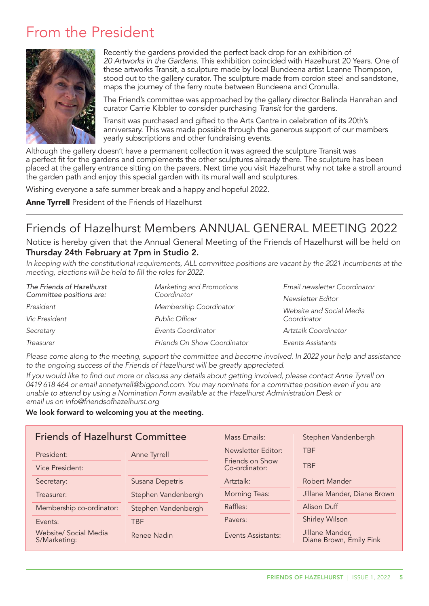# From the President



Recently the gardens provided the perfect back drop for an exhibition of *20 Artworks in the Gardens*. This exhibition coincided with Hazelhurst 20 Years. One of these artworks Transit, a sculpture made by local Bundeena artist Leanne Thompson, stood out to the gallery curator. The sculpture made from cordon steel and sandstone, maps the journey of the ferry route between Bundeena and Cronulla.

The Friend's committee was approached by the gallery director Belinda Hanrahan and curator Carrie Kibbler to consider purchasing *Transit* for the gardens.

Transit was purchased and gifted to the Arts Centre in celebration of its 20th's anniversary. This was made possible through the generous support of our members yearly subscriptions and other fundraising events.

Although the gallery doesn't have a permanent collection it was agreed the sculpture Transit was a perfect fit for the gardens and complements the other sculptures already there. The sculpture has been placed at the gallery entrance sitting on the pavers. Next time you visit Hazelhurst why not take a stroll around the garden path and enjoy this special garden with its mural wall and sculptures.

Wishing everyone a safe summer break and a happy and hopeful 2022.

Anne Tyrrell President of the Friends of Hazelhurst

### Friends of Hazelhurst Members ANNUAL GENERAL MEETING 2022

Notice is hereby given that the Annual General Meeting of the Friends of Hazelhurst will be held on Thursday 24th February at 7pm in Studio 2.

*In keeping with the constitutional requirements, ALL committee positions are vacant by the 2021 incumbents at the meeting, elections will be held to fill the roles for 2022.*

| The Friends of Hazelhurst | Marketing and Promotions    | Email newsletter Coordinator |  |
|---------------------------|-----------------------------|------------------------------|--|
| Committee positions are:  | Coordinator                 | Newsletter Editor            |  |
| President                 | Membership Coordinator      | Website and Social Media     |  |
| Vic President             | Public Officer              | Coordinator                  |  |
| Secretary                 | Events Coordinator          | Artztalk Coordinator         |  |
| Treasurer                 | Friends On Show Coordinator | Events Assistants            |  |

*Please come along to the meeting, support the committee and become involved. In 2022 your help and assistance to the ongoing success of the Friends of Hazelhurst will be greatly appreciated.* 

*If you would like to find out more or discuss any details about getting involved, please contact Anne Tyrrell on 0419 618 464 or email annetyrrell@bigpond.com. You may nominate for a committee position even if you are unable to attend by using a Nomination Form available at the Hazelhurst Administration Desk or email us on info@friendsofhazelhurst.org*

#### We look forward to welcoming you at the meeting.

| <b>Friends of Hazelhurst Committee</b>       |                     | Mass Emails:                     | Stephen Vandenbergh                        |
|----------------------------------------------|---------------------|----------------------------------|--------------------------------------------|
| President:                                   | Anne Tyrrell        | Newsletter Editor:               | <b>TBF</b>                                 |
| <b>Vice President:</b>                       |                     | Friends on Show<br>Co-ordinator: | <b>TBF</b>                                 |
| Secretary:                                   | Susana Depetris     | Artztalk:                        | Robert Mander                              |
| Treasurer:                                   | Stephen Vandenbergh | <b>Morning Teas:</b>             | Jillane Mander, Diane Brown                |
| Membership co-ordinator:                     | Stephen Vandenbergh | Raffles:                         | Alison Duff                                |
| Events:                                      | <b>TBF</b>          | Pavers:                          | <b>Shirley Wilson</b>                      |
| <b>Website/ Social Media</b><br>S/Marketing: | Renee Nadin         | Events Assistants:               | Jillane Mander,<br>Diane Brown, Emily Fink |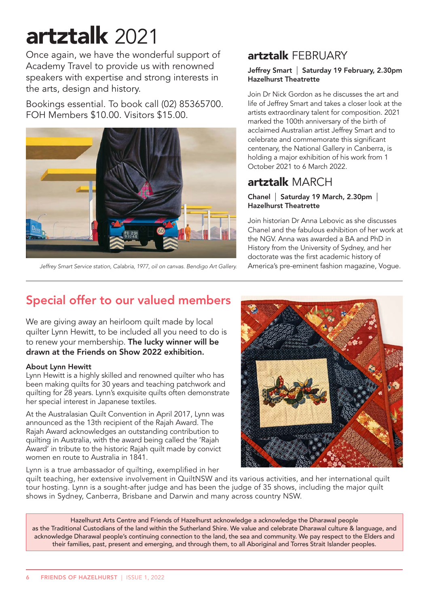# artztalk 2021

Once again, we have the wonderful support of Academy Travel to provide us with renowned speakers with expertise and strong interests in the arts, design and history.

Bookings essential. To book call (02) 85365700. FOH Members \$10.00. Visitors \$15.00.



*Jeffrey Smart Service station, Calabria, 1977, oil on canvas. Bendigo Art Gallery.* America's pre-eminent fashion magazine, Vogue.

### artztalk FEBRUARY

#### Jeffrey Smart | Saturday 19 February, 2.30pm Hazelhurst Theatrette

Join Dr Nick Gordon as he discusses the art and life of Jeffrey Smart and takes a closer look at the artists extraordinary talent for composition. 2021 marked the 100th anniversary of the birth of acclaimed Australian artist Jeffrey Smart and to celebrate and commemorate this significant centenary, the National Gallery in Canberra, is holding a major exhibition of his work from 1 October 2021 to 6 March 2022.

### artztalk MARCH

#### Chanel | Saturday 19 March, 2.30pm | Hazelhurst Theatrette

Join historian Dr Anna Lebovic as she discusses Chanel and the fabulous exhibition of her work at the NGV. Anna was awarded a BA and PhD in History from the University of Sydney, and her doctorate was the first academic history of

## Special offer to our valued members

We are giving away an heirloom quilt made by local quilter Lynn Hewitt, to be included all you need to do is to renew your membership. The lucky winner will be drawn at the Friends on Show 2022 exhibition.

#### About Lynn Hewitt

Lynn Hewitt is a highly skilled and renowned quilter who has been making quilts for 30 years and teaching patchwork and quilting for 28 years. Lynn's exquisite quilts often demonstrate her special interest in Japanese textiles.

At the Australasian Quilt Convention in April 2017, Lynn was announced as the 13th recipient of the Rajah Award. The Rajah Award acknowledges an outstanding contribution to quilting in Australia, with the award being called the 'Rajah Award' in tribute to the historic Rajah quilt made by convict women en route to Australia in 1841.

Lynn is a true ambassador of quilting, exemplified in her



quilt teaching, her extensive involvement in QuiltNSW and its various activities, and her international quilt tour hosting. Lynn is a sought-after judge and has been the judge of 35 shows, including the major quilt shows in Sydney, Canberra, Brisbane and Darwin and many across country NSW.

Hazelhurst Arts Centre and Friends of Hazelhurst acknowledge a acknowledge the Dharawal people as the Traditional Custodians of the land within the Sutherland Shire. We value and celebrate Dharawal culture & language, and acknowledge Dharawal people's continuing connection to the land, the sea and community. We pay respect to the Elders and their families, past, present and emerging, and through them, to all Aboriginal and Torres Strait Islander peoples.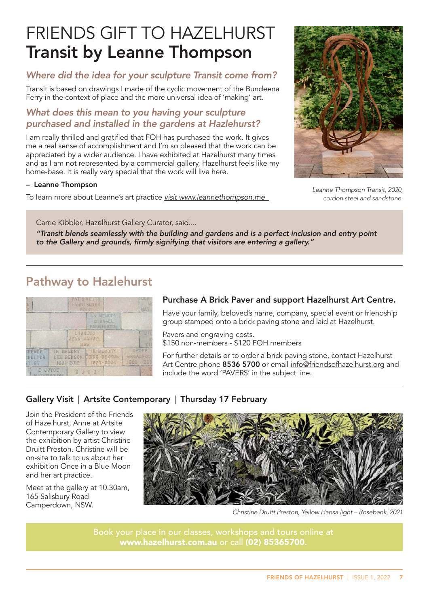# FRIENDS GIFT TO HAZELHURST Transit by Leanne Thompson

#### *Where did the idea for your sculpture Transit come from?*

Transit is based on drawings I made of the cyclic movement of the Bundeena Ferry in the context of place and the more universal idea of 'making' art.

#### *What does this mean to you having your sculpture purchased and installed in the gardens at Hazlehurst?*

I am really thrilled and gratified that FOH has purchased the work. It gives me a real sense of accomplishment and I'm so pleased that the work can be appreciated by a wider audience. I have exhibited at Hazelhurst many times and as I am not represented by a commercial gallery, Hazelhurst feels like my home-base. It is really very special that the work will live here.

#### – Leanne Thompson

To learn more about Leanne's art practice *visit www.leannethompson.me* 



*Leanne Thompson Transit, 2020, cordon steel and sandstone.* 

Carrie Kibbler, Hazelhurst Gallery Curator, said....

*"Transit blends seamlessly with the building and gardens and is a perfect inclusion and entry point to the Gallery and grounds, firmly signifying that visitors are entering a gallery."*

### Pathway to Hazlehurst



#### Purchase A Brick Paver and support Hazelhurst Art Centre.

Have your family, beloved's name, company, special event or friendship group stamped onto a brick paving stone and laid at Hazelhurst.

Pavers and engraving costs. \$150 non-members - \$120 FOH members

For further details or to order a brick paving stone, contact Hazelhurst Art Centre phone 8536 5700 or email info@friendsofhazelhurst.org and include the word 'PAVERS' in the subject line.

#### Gallery Visit | Artsite Contemporary | Thursday 17 February

Join the President of the Friends of Hazelhurst, Anne at Artsite Contemporary Gallery to view the exhibition by artist Christine Druitt Preston. Christine will be on-site to talk to us about her exhibition Once in a Blue Moon and her art practice.

Meet at the gallery at 10.30am, 165 Salisbury Road Camperdown, NSW.



*Christine Druitt Preston, Yellow Hansa light – Rosebank, 2021*

www.hazelhurst.com.au or call (02) 85365700.